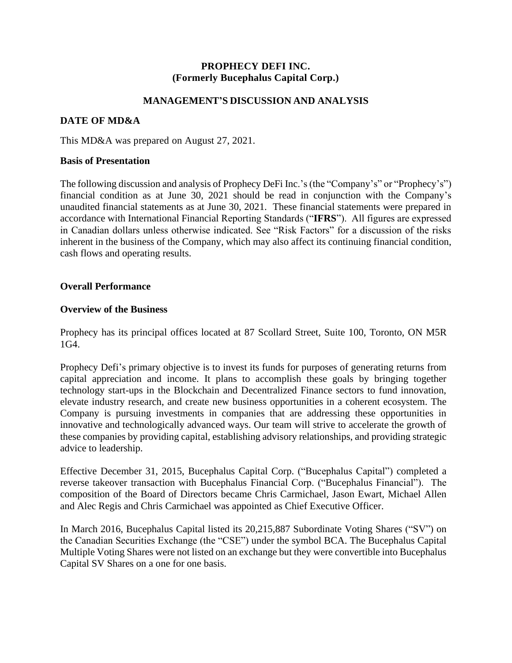# **PROPHECY DEFI INC. (Formerly Bucephalus Capital Corp.)**

## **MANAGEMENT'S DISCUSSION AND ANALYSIS**

# **DATE OF MD&A**

This MD&A was prepared on August 27, 2021.

### **Basis of Presentation**

The following discussion and analysis of Prophecy DeFi Inc.'s (the "Company's" or "Prophecy's") financial condition as at June 30, 2021 should be read in conjunction with the Company's unaudited financial statements as at June 30, 2021. These financial statements were prepared in accordance with International Financial Reporting Standards ("**IFRS**"). All figures are expressed in Canadian dollars unless otherwise indicated. See "Risk Factors" for a discussion of the risks inherent in the business of the Company, which may also affect its continuing financial condition, cash flows and operating results.

## **Overall Performance**

### **Overview of the Business**

Prophecy has its principal offices located at 87 Scollard Street, Suite 100, Toronto, ON M5R 1G4.

Prophecy Defi's primary objective is to invest its funds for purposes of generating returns from capital appreciation and income. It plans to accomplish these goals by bringing together technology start-ups in the Blockchain and Decentralized Finance sectors to fund innovation, elevate industry research, and create new business opportunities in a coherent ecosystem. The Company is pursuing investments in companies that are addressing these opportunities in innovative and technologically advanced ways. Our team will strive to accelerate the growth of these companies by providing capital, establishing advisory relationships, and providing strategic advice to leadership.

Effective December 31, 2015, Bucephalus Capital Corp. ("Bucephalus Capital") completed a reverse takeover transaction with Bucephalus Financial Corp. ("Bucephalus Financial"). The composition of the Board of Directors became Chris Carmichael, Jason Ewart, Michael Allen and Alec Regis and Chris Carmichael was appointed as Chief Executive Officer.

In March 2016, Bucephalus Capital listed its 20,215,887 Subordinate Voting Shares ("SV") on the Canadian Securities Exchange (the "CSE") under the symbol BCA. The Bucephalus Capital Multiple Voting Shares were not listed on an exchange but they were convertible into Bucephalus Capital SV Shares on a one for one basis.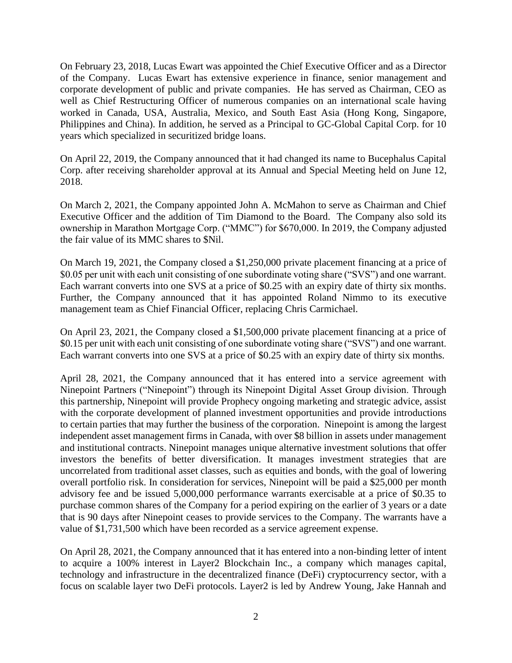On February 23, 2018, Lucas Ewart was appointed the Chief Executive Officer and as a Director of the Company. Lucas Ewart has extensive experience in finance, senior management and corporate development of public and private companies. He has served as Chairman, CEO as well as Chief Restructuring Officer of numerous companies on an international scale having worked in Canada, USA, Australia, Mexico, and South East Asia (Hong Kong, Singapore, Philippines and China). In addition, he served as a Principal to GC-Global Capital Corp. for 10 years which specialized in securitized bridge loans.

On April 22, 2019, the Company announced that it had changed its name to Bucephalus Capital Corp. after receiving shareholder approval at its Annual and Special Meeting held on June 12, 2018.

On March 2, 2021, the Company appointed John A. McMahon to serve as Chairman and Chief Executive Officer and the addition of Tim Diamond to the Board. The Company also sold its ownership in Marathon Mortgage Corp. ("MMC") for \$670,000. In 2019, the Company adjusted the fair value of its MMC shares to \$Nil.

On March 19, 2021, the Company closed a \$1,250,000 private placement financing at a price of \$0.05 per unit with each unit consisting of one subordinate voting share ("SVS") and one warrant. Each warrant converts into one SVS at a price of \$0.25 with an expiry date of thirty six months. Further, the Company announced that it has appointed Roland Nimmo to its executive management team as Chief Financial Officer, replacing Chris Carmichael.

On April 23, 2021, the Company closed a \$1,500,000 private placement financing at a price of \$0.15 per unit with each unit consisting of one subordinate voting share ("SVS") and one warrant. Each warrant converts into one SVS at a price of \$0.25 with an expiry date of thirty six months.

April 28, 2021, the Company announced that it has entered into a service agreement with Ninepoint Partners ("Ninepoint") through its Ninepoint Digital Asset Group division. Through this partnership, Ninepoint will provide Prophecy ongoing marketing and strategic advice, assist with the corporate development of planned investment opportunities and provide introductions to certain parties that may further the business of the corporation. Ninepoint is among the largest independent asset management firms in Canada, with over \$8 billion in assets under management and institutional contracts. Ninepoint manages unique alternative investment solutions that offer investors the benefits of better diversification. It manages investment strategies that are uncorrelated from traditional asset classes, such as equities and bonds, with the goal of lowering overall portfolio risk. In consideration for services, Ninepoint will be paid a \$25,000 per month advisory fee and be issued 5,000,000 performance warrants exercisable at a price of \$0.35 to purchase common shares of the Company for a period expiring on the earlier of 3 years or a date that is 90 days after Ninepoint ceases to provide services to the Company. The warrants have a value of \$1,731,500 which have been recorded as a service agreement expense.

On April 28, 2021, the Company announced that it has entered into a non-binding letter of intent to acquire a 100% interest in Layer2 Blockchain Inc., a company which manages capital, technology and infrastructure in the decentralized finance (DeFi) cryptocurrency sector, with a focus on scalable layer two DeFi protocols. Layer2 is led by Andrew Young, Jake Hannah and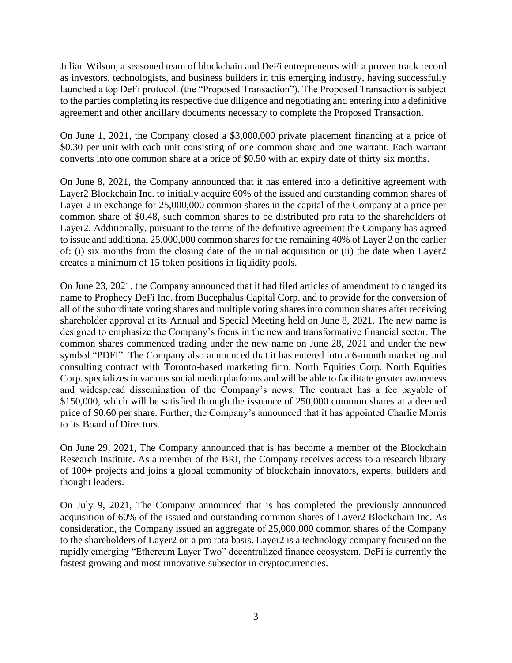Julian Wilson, a seasoned team of blockchain and DeFi entrepreneurs with a proven track record as investors, technologists, and business builders in this emerging industry, having successfully launched a top DeFi protocol. (the "Proposed Transaction"). The Proposed Transaction is subject to the parties completing its respective due diligence and negotiating and entering into a definitive agreement and other ancillary documents necessary to complete the Proposed Transaction.

On June 1, 2021, the Company closed a \$3,000,000 private placement financing at a price of \$0.30 per unit with each unit consisting of one common share and one warrant. Each warrant converts into one common share at a price of \$0.50 with an expiry date of thirty six months.

On June 8, 2021, the Company announced that it has entered into a definitive agreement with Layer2 Blockchain Inc. to initially acquire 60% of the issued and outstanding common shares of Layer 2 in exchange for 25,000,000 common shares in the capital of the Company at a price per common share of \$0.48, such common shares to be distributed pro rata to the shareholders of Layer2. Additionally, pursuant to the terms of the definitive agreement the Company has agreed to issue and additional 25,000,000 common shares for the remaining 40% of Layer 2 on the earlier of: (i) six months from the closing date of the initial acquisition or (ii) the date when Layer2 creates a minimum of 15 token positions in liquidity pools.

On June 23, 2021, the Company announced that it had filed articles of amendment to changed its name to Prophecy DeFi Inc. from Bucephalus Capital Corp. and to provide for the conversion of all of the subordinate voting shares and multiple voting shares into common shares after receiving shareholder approval at its Annual and Special Meeting held on June 8, 2021. The new name is designed to emphasize the Company's focus in the new and transformative financial sector. The common shares commenced trading under the new name on June 28, 2021 and under the new symbol "PDFI". The Company also announced that it has entered into a 6-month marketing and consulting contract with Toronto-based marketing firm, North Equities Corp. North Equities Corp. specializes in various social media platforms and will be able to facilitate greater awareness and widespread dissemination of the Company's news. The contract has a fee payable of \$150,000, which will be satisfied through the issuance of 250,000 common shares at a deemed price of \$0.60 per share. Further, the Company's announced that it has appointed Charlie Morris to its Board of Directors.

On June 29, 2021, The Company announced that is has become a member of the Blockchain Research Institute. As a member of the BRI, the Company receives access to a research library of 100+ projects and joins a global community of blockchain innovators, experts, builders and thought leaders.

On July 9, 2021, The Company announced that is has completed the previously announced acquisition of 60% of the issued and outstanding common shares of Layer2 Blockchain Inc. As consideration, the Company issued an aggregate of 25,000,000 common shares of the Company to the shareholders of Layer2 on a pro rata basis. Layer2 is a technology company focused on the rapidly emerging "Ethereum Layer Two" decentralized finance ecosystem. DeFi is currently the fastest growing and most innovative subsector in cryptocurrencies.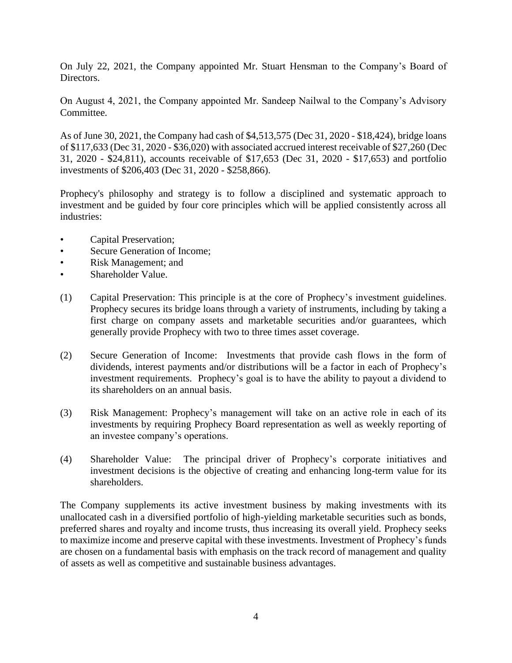On July 22, 2021, the Company appointed Mr. Stuart Hensman to the Company's Board of Directors.

On August 4, 2021, the Company appointed Mr. Sandeep Nailwal to the Company's Advisory Committee.

As of June 30, 2021, the Company had cash of \$4,513,575 (Dec 31, 2020 - \$18,424), bridge loans of \$117,633 (Dec 31, 2020 - \$36,020) with associated accrued interest receivable of \$27,260 (Dec 31, 2020 - \$24,811), accounts receivable of \$17,653 (Dec 31, 2020 - \$17,653) and portfolio investments of \$206,403 (Dec 31, 2020 - \$258,866).

Prophecy's philosophy and strategy is to follow a disciplined and systematic approach to investment and be guided by four core principles which will be applied consistently across all industries:

- Capital Preservation;
- Secure Generation of Income;
- Risk Management; and
- Shareholder Value.
- (1) Capital Preservation: This principle is at the core of Prophecy's investment guidelines. Prophecy secures its bridge loans through a variety of instruments, including by taking a first charge on company assets and marketable securities and/or guarantees, which generally provide Prophecy with two to three times asset coverage.
- (2) Secure Generation of Income: Investments that provide cash flows in the form of dividends, interest payments and/or distributions will be a factor in each of Prophecy's investment requirements. Prophecy's goal is to have the ability to payout a dividend to its shareholders on an annual basis.
- (3) Risk Management: Prophecy's management will take on an active role in each of its investments by requiring Prophecy Board representation as well as weekly reporting of an investee company's operations.
- (4) Shareholder Value: The principal driver of Prophecy's corporate initiatives and investment decisions is the objective of creating and enhancing long-term value for its shareholders.

The Company supplements its active investment business by making investments with its unallocated cash in a diversified portfolio of high-yielding marketable securities such as bonds, preferred shares and royalty and income trusts, thus increasing its overall yield. Prophecy seeks to maximize income and preserve capital with these investments. Investment of Prophecy's funds are chosen on a fundamental basis with emphasis on the track record of management and quality of assets as well as competitive and sustainable business advantages.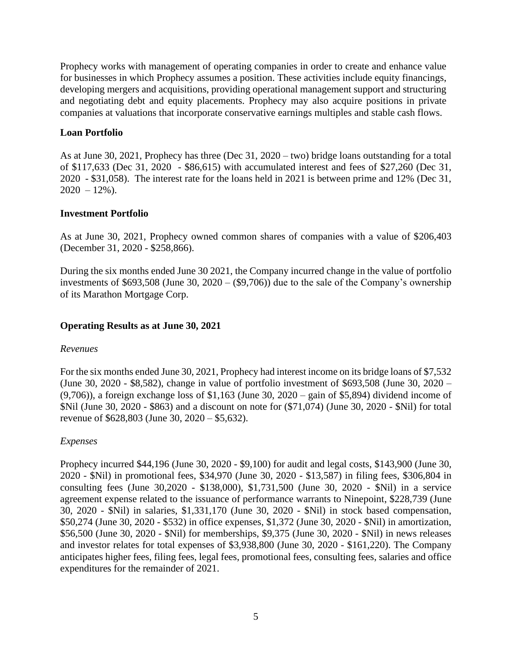Prophecy works with management of operating companies in order to create and enhance value for businesses in which Prophecy assumes a position. These activities include equity financings, developing mergers and acquisitions, providing operational management support and structuring and negotiating debt and equity placements. Prophecy may also acquire positions in private companies at valuations that incorporate conservative earnings multiples and stable cash flows.

#### **Loan Portfolio**

As at June 30, 2021, Prophecy has three (Dec 31, 2020 – two) bridge loans outstanding for a total of \$117,633 (Dec 31, 2020 - \$86,615) with accumulated interest and fees of \$27,260 (Dec 31, 2020 - \$31,058). The interest rate for the loans held in 2021 is between prime and 12% (Dec 31,  $2020 - 12\%$ ).

### **Investment Portfolio**

As at June 30, 2021, Prophecy owned common shares of companies with a value of \$206,403 (December 31, 2020 - \$258,866).

During the six months ended June 30 2021, the Company incurred change in the value of portfolio investments of \$693,508 (June 30, 2020 –  $(\$9,706)$ ) due to the sale of the Company's ownership of its Marathon Mortgage Corp.

### **Operating Results as at June 30, 2021**

#### *Revenues*

For the six months ended June 30, 2021, Prophecy had interest income on its bridge loans of \$7,532 (June 30, 2020 - \$8,582), change in value of portfolio investment of \$693,508 (June 30, 2020 –  $(9,706)$ ), a foreign exchange loss of \$1,163 (June 30, 2020 – gain of \$5,894) dividend income of \$Nil (June 30, 2020 - \$863) and a discount on note for (\$71,074) (June 30, 2020 - \$Nil) for total revenue of \$628,803 (June 30, 2020 – \$5,632).

#### *Expenses*

Prophecy incurred \$44,196 (June 30, 2020 - \$9,100) for audit and legal costs, \$143,900 (June 30, 2020 - \$Nil) in promotional fees, \$34,970 (June 30, 2020 - \$13,587) in filing fees, \$306,804 in consulting fees (June 30,2020 - \$138,000), \$1,731,500 (June 30, 2020 - \$Nil) in a service agreement expense related to the issuance of performance warrants to Ninepoint, \$228,739 (June 30, 2020 - \$Nil) in salaries, \$1,331,170 (June 30, 2020 - \$Nil) in stock based compensation, \$50,274 (June 30, 2020 - \$532) in office expenses, \$1,372 (June 30, 2020 - \$Nil) in amortization, \$56,500 (June 30, 2020 - \$Nil) for memberships, \$9,375 (June 30, 2020 - \$Nil) in news releases and investor relates for total expenses of \$3,938,800 (June 30, 2020 - \$161,220). The Company anticipates higher fees, filing fees, legal fees, promotional fees, consulting fees, salaries and office expenditures for the remainder of 2021.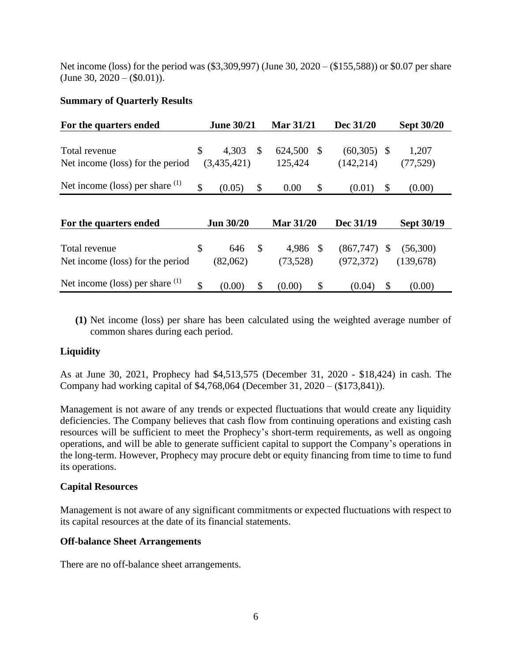Net income (loss) for the period was (\$3,309,997) (June 30, 2020 – (\$155,588)) or \$0.07 per share  $(June 30, 2020 - (\$0.01)).$ 

# **Summary of Quarterly Results**

| For the quarters ended                            | <b>June 30/21</b>          |               | <b>Mar 31/21</b>     |               | Dec 31/20                   |    | <b>Sept 30/20</b>      |
|---------------------------------------------------|----------------------------|---------------|----------------------|---------------|-----------------------------|----|------------------------|
| Total revenue<br>Net income (loss) for the period | \$<br>4,303<br>(3,435,421) | \$            | 624,500<br>125,424   | <sup>\$</sup> | $(60,305)$ \$<br>(142, 214) |    | 1,207<br>(77, 529)     |
| Net income (loss) per share $(1)$                 | \$<br>(0.05)               | \$            | 0.00                 | \$            | (0.01)                      | \$ | (0.00)                 |
| For the quarters ended                            | <b>Jun 30/20</b>           |               | <b>Mar 31/20</b>     |               | Dec 31/19                   |    | <b>Sept 30/19</b>      |
| Total revenue<br>Net income (loss) for the period | \$<br>646<br>(82,062)      | $\mathcal{S}$ | 4,986 \$<br>(73,528) |               | (867,747)<br>(972, 372)     | -S | (56,300)<br>(139, 678) |
| Net income (loss) per share $(1)$                 | \$<br>(0.00)               | \$            | (0.00)               | \$            | (0.04)                      | \$ | (0.00)                 |

**(1)** Net income (loss) per share has been calculated using the weighted average number of common shares during each period.

## **Liquidity**

As at June 30, 2021, Prophecy had \$4,513,575 (December 31, 2020 - \$18,424) in cash. The Company had working capital of \$4,768,064 (December 31, 2020 – (\$173,841)).

Management is not aware of any trends or expected fluctuations that would create any liquidity deficiencies. The Company believes that cash flow from continuing operations and existing cash resources will be sufficient to meet the Prophecy's short-term requirements, as well as ongoing operations, and will be able to generate sufficient capital to support the Company's operations in the long-term. However, Prophecy may procure debt or equity financing from time to time to fund its operations.

## **Capital Resources**

Management is not aware of any significant commitments or expected fluctuations with respect to its capital resources at the date of its financial statements.

## **Off-balance Sheet Arrangements**

There are no off-balance sheet arrangements.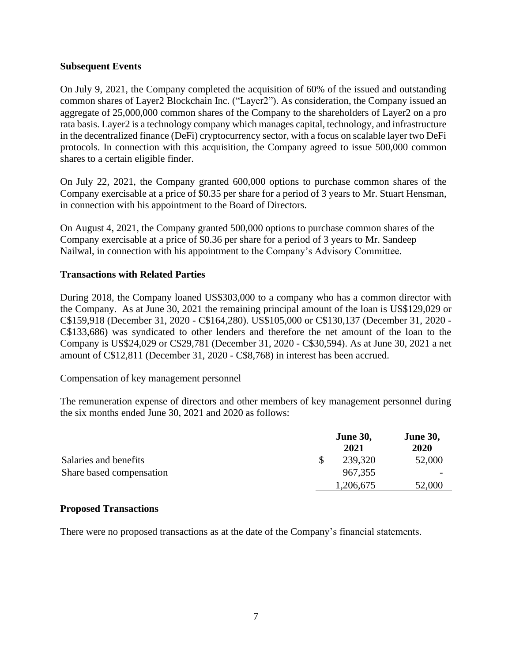## **Subsequent Events**

On July 9, 2021, the Company completed the acquisition of 60% of the issued and outstanding common shares of Layer2 Blockchain Inc. ("Layer2"). As consideration, the Company issued an aggregate of 25,000,000 common shares of the Company to the shareholders of Layer2 on a pro rata basis. Layer2 is a technology company which manages capital, technology, and infrastructure in the decentralized finance (DeFi) cryptocurrency sector, with a focus on scalable layer two DeFi protocols. In connection with this acquisition, the Company agreed to issue 500,000 common shares to a certain eligible finder.

On July 22, 2021, the Company granted 600,000 options to purchase common shares of the Company exercisable at a price of \$0.35 per share for a period of 3 years to Mr. Stuart Hensman, in connection with his appointment to the Board of Directors.

On August 4, 2021, the Company granted 500,000 options to purchase common shares of the Company exercisable at a price of \$0.36 per share for a period of 3 years to Mr. Sandeep Nailwal, in connection with his appointment to the Company's Advisory Committee.

## **Transactions with Related Parties**

During 2018, the Company loaned US\$303,000 to a company who has a common director with the Company. As at June 30, 2021 the remaining principal amount of the loan is US\$129,029 or C\$159,918 (December 31, 2020 - C\$164,280). US\$105,000 or C\$130,137 (December 31, 2020 - C\$133,686) was syndicated to other lenders and therefore the net amount of the loan to the Company is US\$24,029 or C\$29,781 (December 31, 2020 - C\$30,594). As at June 30, 2021 a net amount of C\$12,811 (December 31, 2020 - C\$8,768) in interest has been accrued.

#### Compensation of key management personnel

The remuneration expense of directors and other members of key management personnel during the six months ended June 30, 2021 and 2020 as follows:

|                          | <b>June 30,</b><br>2021 | <b>June 30,</b><br>2020  |
|--------------------------|-------------------------|--------------------------|
| Salaries and benefits    | 239,320                 | 52,000                   |
| Share based compensation | 967,355                 | $\overline{\phantom{0}}$ |
|                          | 1,206,675               | 52,000                   |

#### **Proposed Transactions**

There were no proposed transactions as at the date of the Company's financial statements.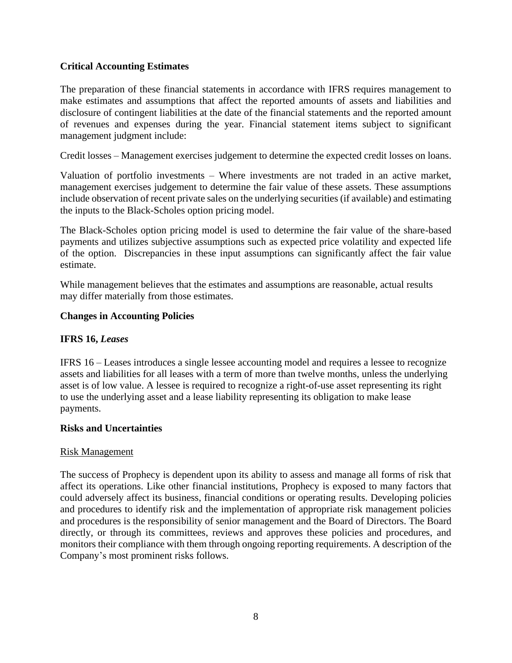# **Critical Accounting Estimates**

The preparation of these financial statements in accordance with IFRS requires management to make estimates and assumptions that affect the reported amounts of assets and liabilities and disclosure of contingent liabilities at the date of the financial statements and the reported amount of revenues and expenses during the year. Financial statement items subject to significant management judgment include:

Credit losses – Management exercises judgement to determine the expected credit losses on loans.

Valuation of portfolio investments – Where investments are not traded in an active market, management exercises judgement to determine the fair value of these assets. These assumptions include observation of recent private sales on the underlying securities (if available) and estimating the inputs to the Black-Scholes option pricing model.

The Black-Scholes option pricing model is used to determine the fair value of the share-based payments and utilizes subjective assumptions such as expected price volatility and expected life of the option. Discrepancies in these input assumptions can significantly affect the fair value estimate.

While management believes that the estimates and assumptions are reasonable, actual results may differ materially from those estimates.

### **Changes in Accounting Policies**

## **IFRS 16,** *Leases*

IFRS 16 – Leases introduces a single lessee accounting model and requires a lessee to recognize assets and liabilities for all leases with a term of more than twelve months, unless the underlying asset is of low value. A lessee is required to recognize a right-of-use asset representing its right to use the underlying asset and a lease liability representing its obligation to make lease payments.

#### **Risks and Uncertainties**

#### Risk Management

The success of Prophecy is dependent upon its ability to assess and manage all forms of risk that affect its operations. Like other financial institutions, Prophecy is exposed to many factors that could adversely affect its business, financial conditions or operating results. Developing policies and procedures to identify risk and the implementation of appropriate risk management policies and procedures is the responsibility of senior management and the Board of Directors. The Board directly, or through its committees, reviews and approves these policies and procedures, and monitors their compliance with them through ongoing reporting requirements. A description of the Company's most prominent risks follows.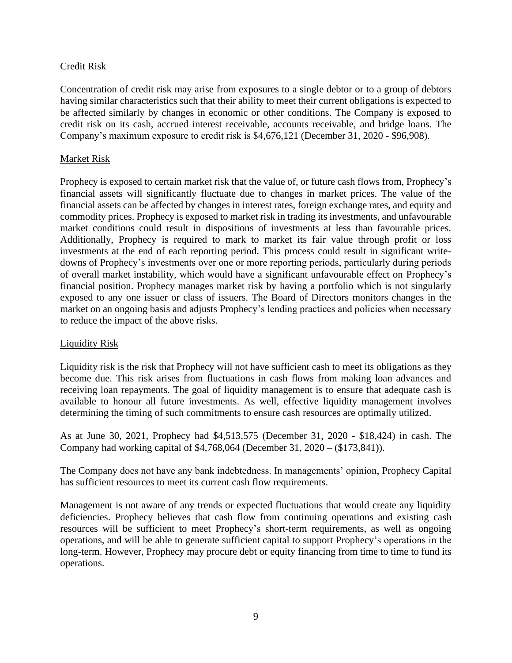# Credit Risk

Concentration of credit risk may arise from exposures to a single debtor or to a group of debtors having similar characteristics such that their ability to meet their current obligations is expected to be affected similarly by changes in economic or other conditions. The Company is exposed to credit risk on its cash, accrued interest receivable, accounts receivable, and bridge loans. The Company's maximum exposure to credit risk is \$4,676,121 (December 31, 2020 - \$96,908).

# Market Risk

Prophecy is exposed to certain market risk that the value of, or future cash flows from, Prophecy's financial assets will significantly fluctuate due to changes in market prices. The value of the financial assets can be affected by changes in interest rates, foreign exchange rates, and equity and commodity prices. Prophecy is exposed to market risk in trading its investments, and unfavourable market conditions could result in dispositions of investments at less than favourable prices. Additionally, Prophecy is required to mark to market its fair value through profit or loss investments at the end of each reporting period. This process could result in significant writedowns of Prophecy's investments over one or more reporting periods, particularly during periods of overall market instability, which would have a significant unfavourable effect on Prophecy's financial position. Prophecy manages market risk by having a portfolio which is not singularly exposed to any one issuer or class of issuers. The Board of Directors monitors changes in the market on an ongoing basis and adjusts Prophecy's lending practices and policies when necessary to reduce the impact of the above risks.

## Liquidity Risk

Liquidity risk is the risk that Prophecy will not have sufficient cash to meet its obligations as they become due. This risk arises from fluctuations in cash flows from making loan advances and receiving loan repayments. The goal of liquidity management is to ensure that adequate cash is available to honour all future investments. As well, effective liquidity management involves determining the timing of such commitments to ensure cash resources are optimally utilized.

As at June 30, 2021, Prophecy had \$4,513,575 (December 31, 2020 - \$18,424) in cash. The Company had working capital of \$4,768,064 (December 31, 2020 – (\$173,841)).

The Company does not have any bank indebtedness. In managements' opinion, Prophecy Capital has sufficient resources to meet its current cash flow requirements.

Management is not aware of any trends or expected fluctuations that would create any liquidity deficiencies. Prophecy believes that cash flow from continuing operations and existing cash resources will be sufficient to meet Prophecy's short-term requirements, as well as ongoing operations, and will be able to generate sufficient capital to support Prophecy's operations in the long-term. However, Prophecy may procure debt or equity financing from time to time to fund its operations.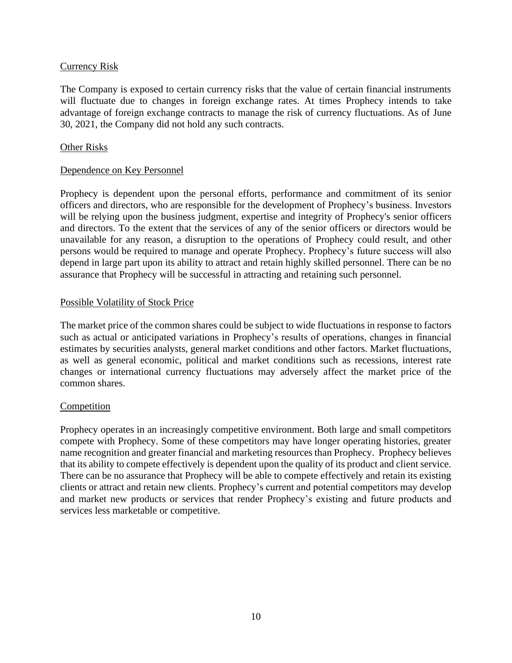# Currency Risk

The Company is exposed to certain currency risks that the value of certain financial instruments will fluctuate due to changes in foreign exchange rates. At times Prophecy intends to take advantage of foreign exchange contracts to manage the risk of currency fluctuations. As of June 30, 2021, the Company did not hold any such contracts.

## Other Risks

## Dependence on Key Personnel

Prophecy is dependent upon the personal efforts, performance and commitment of its senior officers and directors, who are responsible for the development of Prophecy's business. Investors will be relying upon the business judgment, expertise and integrity of Prophecy's senior officers and directors. To the extent that the services of any of the senior officers or directors would be unavailable for any reason, a disruption to the operations of Prophecy could result, and other persons would be required to manage and operate Prophecy. Prophecy's future success will also depend in large part upon its ability to attract and retain highly skilled personnel. There can be no assurance that Prophecy will be successful in attracting and retaining such personnel.

## Possible Volatility of Stock Price

The market price of the common shares could be subject to wide fluctuations in response to factors such as actual or anticipated variations in Prophecy's results of operations, changes in financial estimates by securities analysts, general market conditions and other factors. Market fluctuations, as well as general economic, political and market conditions such as recessions, interest rate changes or international currency fluctuations may adversely affect the market price of the common shares.

## **Competition**

Prophecy operates in an increasingly competitive environment. Both large and small competitors compete with Prophecy. Some of these competitors may have longer operating histories, greater name recognition and greater financial and marketing resources than Prophecy. Prophecy believes that its ability to compete effectively is dependent upon the quality of its product and client service. There can be no assurance that Prophecy will be able to compete effectively and retain its existing clients or attract and retain new clients. Prophecy's current and potential competitors may develop and market new products or services that render Prophecy's existing and future products and services less marketable or competitive.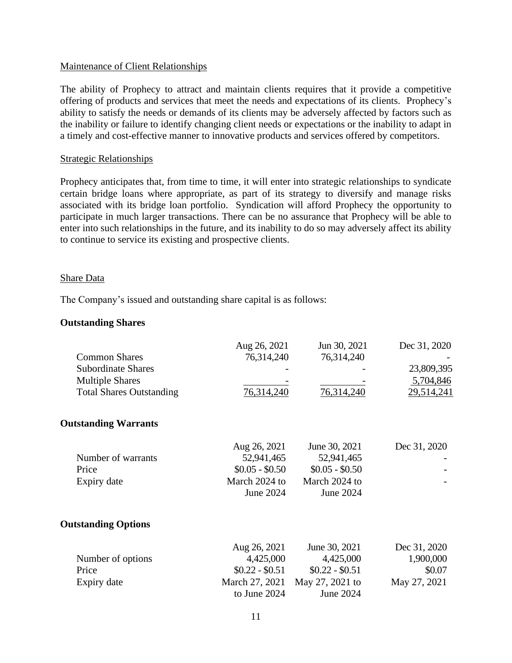# Maintenance of Client Relationships

The ability of Prophecy to attract and maintain clients requires that it provide a competitive offering of products and services that meet the needs and expectations of its clients. Prophecy's ability to satisfy the needs or demands of its clients may be adversely affected by factors such as the inability or failure to identify changing client needs or expectations or the inability to adapt in a timely and cost-effective manner to innovative products and services offered by competitors.

### Strategic Relationships

Prophecy anticipates that, from time to time, it will enter into strategic relationships to syndicate certain bridge loans where appropriate, as part of its strategy to diversify and manage risks associated with its bridge loan portfolio. Syndication will afford Prophecy the opportunity to participate in much larger transactions. There can be no assurance that Prophecy will be able to enter into such relationships in the future, and its inability to do so may adversely affect its ability to continue to service its existing and prospective clients.

#### Share Data

The Company's issued and outstanding share capital is as follows:

### **Outstanding Shares**

| <b>Common Shares</b><br><b>Subordinate Shares</b><br><b>Multiple Shares</b><br><b>Total Shares Outstanding</b> | Aug 26, 2021<br>76,314,240<br>76,314,240                                       | Jun 30, 2021<br>76,314,240<br>76,314,240                                      | Dec 31, 2020<br>23,809,395<br>5,704,846<br>29,514,241 |
|----------------------------------------------------------------------------------------------------------------|--------------------------------------------------------------------------------|-------------------------------------------------------------------------------|-------------------------------------------------------|
| <b>Outstanding Warrants</b>                                                                                    |                                                                                |                                                                               |                                                       |
| Number of warrants<br>Price<br>Expiry date                                                                     | Aug 26, 2021<br>52,941,465<br>$$0.05 - $0.50$<br>March 2024 to<br>June 2024    | June 30, 2021<br>52,941,465<br>$$0.05 - $0.50$<br>March 2024 to<br>June 2024  | Dec 31, 2020                                          |
| <b>Outstanding Options</b>                                                                                     |                                                                                |                                                                               |                                                       |
| Number of options<br>Price<br>Expiry date                                                                      | Aug 26, 2021<br>4,425,000<br>$$0.22 - $0.51$<br>March 27, 2021<br>to June 2024 | June 30, 2021<br>4,425,000<br>$$0.22 - $0.51$<br>May 27, 2021 to<br>June 2024 | Dec 31, 2020<br>1,900,000<br>\$0.07<br>May 27, 2021   |